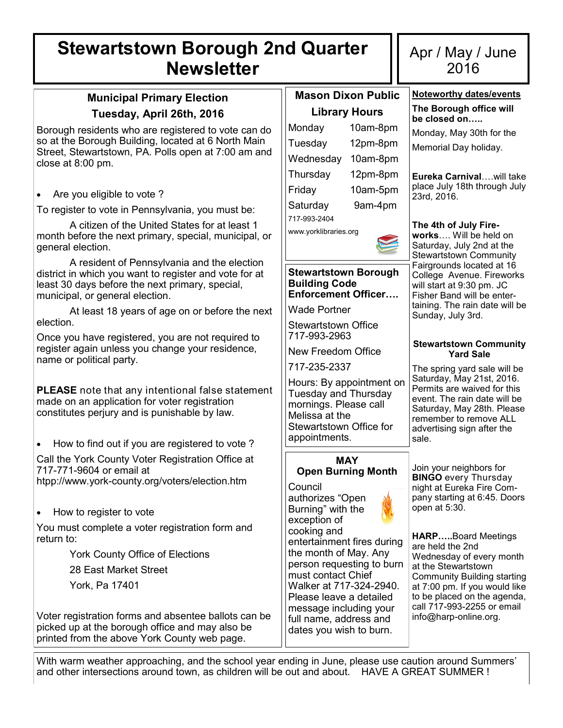# **Stewartstown Borough 2nd Quarter Newsletter**

## **Municipal Primary Election Tuesday, April 26th, 2016**

Borough residents who are registered to vote can do so at the Borough Building, located at 6 North Main Street, Stewartstown, PA. Polls open at 7:00 am and close at 8:00 pm.

Are you eligible to vote ?

To register to vote in Pennsylvania, you must be:

A citizen of the United States for at least 1 month before the next primary, special, municipal, or general election.

A resident of Pennsylvania and the election district in which you want to register and vote for at least 30 days before the next primary, special, municipal, or general election.

At least 18 years of age on or before the next election.

Once you have registered, you are not required to register again unless you change your residence, name or political party.

**PLEASE** note that any intentional false statement made on an application for voter registration constitutes perjury and is punishable by law.

 How to find out if you are registered to vote ? Call the York County Voter Registration Office at 717-771-9604 or email at

htpp://www.york-county.org/voters/election.htm

• How to register to vote

You must complete a voter registration form and return to:

York County Office of Elections

28 East Market Street

York, Pa 17401

Voter registration forms and absentee ballots can be picked up at the borough office and may also be printed from the above York County web page.

|                       | <b>Mason Dixon Public</b> |  |  |  |  |
|-----------------------|---------------------------|--|--|--|--|
| Library Hours         |                           |  |  |  |  |
| Monday                | 10am-8pm                  |  |  |  |  |
| Tuesday               | 12pm-8pm                  |  |  |  |  |
| Wednesday             | 10am-8pm                  |  |  |  |  |
| Thursday              | 12pm-8pm                  |  |  |  |  |
| Friday                | 10am-5pm                  |  |  |  |  |
| Saturday              | 9am-4pm                   |  |  |  |  |
| 717-993-2404          |                           |  |  |  |  |
| www.yorklibraries.org |                           |  |  |  |  |

#### **Stewartstown Borough Building Code Enforcement Officer….**

Wade Portner

Stewartstown Office 717-993-2963

New Freedom Office

717-235-2337

Hours: By appointment on Tuesday and Thursday mornings. Please call Melissa at the Stewartstown Office for appointments.

# **Open Burning Month**

Council

authorizes "Open Burning" with the exception of cooking and entertainment fires during the month of May. Any person requesting to burn must contact Chief Walker at 717-324-2940. Please leave a detailed message including your full name, address and dates you wish to burn.

# Apr / May / June 2016

**Noteworthy dates/events The Borough office will** 

## **be closed on…..** Monday, May 30th for the Memorial Day holiday. **Eureka Carnival**….will take place July 18th through July 23rd, 2016. **The 4th of July Fireworks**…. Will be held on Saturday, July 2nd at the Stewartstown Community Fairgrounds located at 16 College Avenue. Fireworks will start at 9:30 pm. JC Fisher Band will be entertaining. The rain date will be Sunday, July 3rd. **Stewartstown Community Yard Sale** The spring yard sale will be Saturday, May 21st, 2016. Permits are waived for this event. The rain date will be Saturday, May 28th. Please remember to remove ALL advertising sign after the sale. Join your neighbors for **BINGO** every Thursday night at Eureka Fire Company starting at 6:45. Doors open at 5:30. **HARP…..**Board Meetings are held the 2nd Wednesday of every month at the Stewartstown Community Building starting at 7:00 pm. If you would like to be placed on the agenda, call 717-993-2255 or email info@harp-online.org. **MAY**

With warm weather approaching, and the school year ending in June, please use caution around Summers' and other intersections around town, as children will be out and about. HAVE A GREAT SUMMER !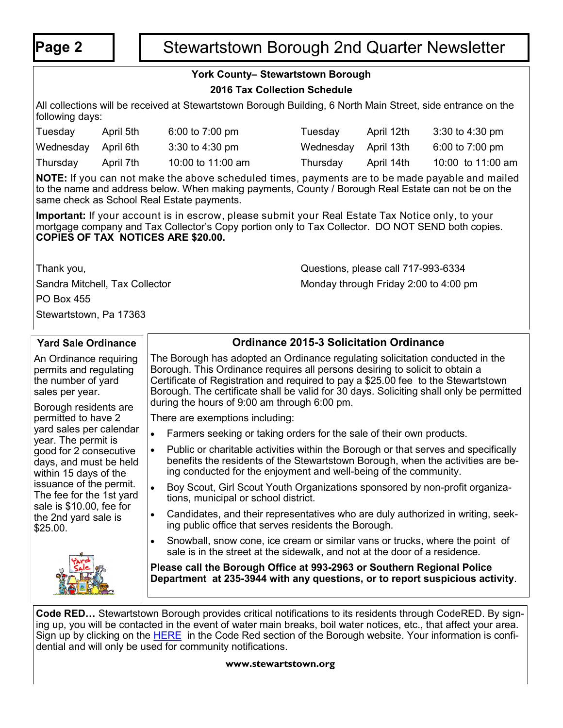# **Page 2** | | Stewartstown Borough 2nd Quarter Newsletter

## **York County– Stewartstown Borough**

### **2016 Tax Collection Schedule**

All collections will be received at Stewartstown Borough Building, 6 North Main Street, side entrance on the following days:

| Tuesday             | April 5th | 6:00 to $7:00 \text{ pm}$ | Tuesday              | April 12th | $3:30$ to 4:30 pm         |
|---------------------|-----------|---------------------------|----------------------|------------|---------------------------|
| Wednesday April 6th |           | $3:30$ to 4:30 pm         | Wednesday April 13th |            | 6:00 to $7:00 \text{ pm}$ |
| Thursday            | April 7th | 10:00 to 11:00 am         | Thursday             | April 14th | 10:00 to 11:00 am         |

**NOTE:** If you can not make the above scheduled times, payments are to be made payable and mailed to the name and address below. When making payments, County / Borough Real Estate can not be on the same check as School Real Estate payments.

**Important:** If your account is in escrow, please submit your Real Estate Tax Notice only, to your mortgage company and Tax Collector's Copy portion only to Tax Collector. DO NOT SEND both copies. **COPIES OF TAX NOTICES ARE \$20.00.**

Thank you, Questions, please call 717-993-6334 Sandra Mitchell, Tax Collector Monday through Friday 2:00 to 4:00 pm

PO Box 455

Stewartstown, Pa 17363

#### **Yard Sale Ordinance** An Ordinance requiring permits and regulating the number of yard sales per year. Borough residents are permitted to have 2 yard sales per calendar year. The permit is good for 2 consecutive days, and must be held within 15 days of the issuance of the permit. The fee for the 1st yard sale is \$10.00, fee for the 2nd yard sale is \$25.00. **Ordinance 2015-3 Solicitation Ordinance** The Borough has adopted an Ordinance regulating solicitation conducted in the Borough. This Ordinance requires all persons desiring to solicit to obtain a Certificate of Registration and required to pay a \$25.00 fee to the Stewartstown Borough. The certificate shall be valid for 30 days. Soliciting shall only be permitted during the hours of 9:00 am through 6:00 pm. There are exemptions including: • Farmers seeking or taking orders for the sale of their own products. • Public or charitable activities within the Borough or that serves and specifically benefits the residents of the Stewartstown Borough, when the activities are being conducted for the enjoyment and well-being of the community. Boy Scout, Girl Scout Youth Organizations sponsored by non-profit organizations, municipal or school district. Candidates, and their representatives who are duly authorized in writing, seeking public office that serves residents the Borough. Snowball, snow cone, ice cream or similar vans or trucks, where the point of sale is in the street at the sidewalk, and not at the door of a residence. **Please call the Borough Office at 993-2963 or Southern Regional Police Department at 235-3944 with any questions, or to report suspicious activity**.

**Code RED…** Stewartstown Borough provides critical notifications to its residents through CodeRED. By signing up, you will be contacted in the event of water main breaks, boil water notices, etc., that affect your area. Sign up by clicking on the **[HERE](https://public.coderedweb.com/cne/en-us/f9ec63def2b4)** in the Code Red section of the Borough website. Your information is confidential and will only be used for community notifications.

#### **www.stewartstown.org**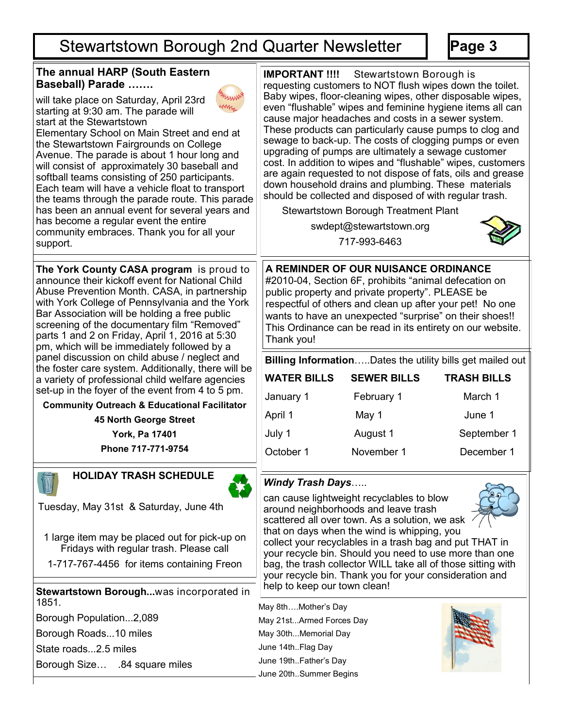# Stewartstown Borough 2nd Quarter Newsletter

**Page 3**

| The annual HARP (South Eastern<br><b>Baseball) Parade </b>                                                                                                                                                                                                                                                                                                                                                                                                                                                                                                                                                           | <b>IMPORTANT !!!!</b>                                                                                                                                                                                                                                                                                                                                | Stewartstown Borough is                                                                                                                                                                                                                                                                                               | requesting customers to NOT flush wipes down the toilet.                                                                                                                                                                                                                                                                                                                  |  |
|----------------------------------------------------------------------------------------------------------------------------------------------------------------------------------------------------------------------------------------------------------------------------------------------------------------------------------------------------------------------------------------------------------------------------------------------------------------------------------------------------------------------------------------------------------------------------------------------------------------------|------------------------------------------------------------------------------------------------------------------------------------------------------------------------------------------------------------------------------------------------------------------------------------------------------------------------------------------------------|-----------------------------------------------------------------------------------------------------------------------------------------------------------------------------------------------------------------------------------------------------------------------------------------------------------------------|---------------------------------------------------------------------------------------------------------------------------------------------------------------------------------------------------------------------------------------------------------------------------------------------------------------------------------------------------------------------------|--|
| will take place on Saturday, April 23rd<br>starting at 9:30 am. The parade will<br>start at the Stewartstown<br>Elementary School on Main Street and end at<br>the Stewartstown Fairgrounds on College<br>Avenue. The parade is about 1 hour long and<br>will consist of approximately 30 baseball and<br>softball teams consisting of 250 participants.<br>Each team will have a vehicle float to transport<br>the teams through the parade route. This parade<br>has been an annual event for several years and<br>has become a regular event the entire<br>community embraces. Thank you for all your<br>support. |                                                                                                                                                                                                                                                                                                                                                      | cause major headaches and costs in a sewer system.<br>upgrading of pumps are ultimately a sewage customer<br>down household drains and plumbing. These materials<br>should be collected and disposed of with regular trash.<br><b>Stewartstown Borough Treatment Plant</b><br>swdept@stewartstown.org<br>717-993-6463 | Baby wipes, floor-cleaning wipes, other disposable wipes,<br>even "flushable" wipes and feminine hygiene items all can<br>These products can particularly cause pumps to clog and<br>sewage to back-up. The costs of clogging pumps or even<br>cost. In addition to wipes and "flushable" wipes, customers<br>are again requested to not dispose of fats, oils and grease |  |
| The York County CASA program is proud to<br>announce their kickoff event for National Child<br>Abuse Prevention Month. CASA, in partnership<br>with York College of Pennsylvania and the York<br>Bar Association will be holding a free public<br>screening of the documentary film "Removed"<br>parts 1 and 2 on Friday, April 1, 2016 at 5:30<br>pm, which will be immediately followed by a                                                                                                                                                                                                                       | A REMINDER OF OUR NUISANCE ORDINANCE<br>#2010-04, Section 6F, prohibits "animal defecation on<br>public property and private property". PLEASE be<br>respectful of others and clean up after your pet! No one<br>wants to have an unexpected "surprise" on their shoes!!<br>This Ordinance can be read in its entirety on our website.<br>Thank you! |                                                                                                                                                                                                                                                                                                                       |                                                                                                                                                                                                                                                                                                                                                                           |  |
| panel discussion on child abuse / neglect and                                                                                                                                                                                                                                                                                                                                                                                                                                                                                                                                                                        | Billing InformationDates the utility bills get mailed out                                                                                                                                                                                                                                                                                            |                                                                                                                                                                                                                                                                                                                       |                                                                                                                                                                                                                                                                                                                                                                           |  |
| the foster care system. Additionally, there will be<br>a variety of professional child welfare agencies                                                                                                                                                                                                                                                                                                                                                                                                                                                                                                              | <b>WATER BILLS</b>                                                                                                                                                                                                                                                                                                                                   | <b>SEWER BILLS</b>                                                                                                                                                                                                                                                                                                    | <b>TRASH BILLS</b>                                                                                                                                                                                                                                                                                                                                                        |  |
| set-up in the foyer of the event from 4 to 5 pm.                                                                                                                                                                                                                                                                                                                                                                                                                                                                                                                                                                     | January 1                                                                                                                                                                                                                                                                                                                                            | February 1                                                                                                                                                                                                                                                                                                            | March 1                                                                                                                                                                                                                                                                                                                                                                   |  |
| <b>Community Outreach &amp; Educational Facilitator</b><br><b>45 North George Street</b>                                                                                                                                                                                                                                                                                                                                                                                                                                                                                                                             | April 1                                                                                                                                                                                                                                                                                                                                              | May 1                                                                                                                                                                                                                                                                                                                 | June 1                                                                                                                                                                                                                                                                                                                                                                    |  |
| York, Pa 17401                                                                                                                                                                                                                                                                                                                                                                                                                                                                                                                                                                                                       | July 1                                                                                                                                                                                                                                                                                                                                               | August 1                                                                                                                                                                                                                                                                                                              | September 1                                                                                                                                                                                                                                                                                                                                                               |  |
| Phone 717-771-9754                                                                                                                                                                                                                                                                                                                                                                                                                                                                                                                                                                                                   | October 1                                                                                                                                                                                                                                                                                                                                            | November 1                                                                                                                                                                                                                                                                                                            | December 1                                                                                                                                                                                                                                                                                                                                                                |  |
| <b>HOLIDAY TRASH SCHEDULE</b>                                                                                                                                                                                                                                                                                                                                                                                                                                                                                                                                                                                        | <b>Windy Trash Days</b><br>can cause lightweight recyclables to blow<br>around neighborhoods and leave trash<br>scattered all over town. As a solution, we ask                                                                                                                                                                                       |                                                                                                                                                                                                                                                                                                                       |                                                                                                                                                                                                                                                                                                                                                                           |  |
| Tuesday, May 31st & Saturday, June 4th                                                                                                                                                                                                                                                                                                                                                                                                                                                                                                                                                                               |                                                                                                                                                                                                                                                                                                                                                      |                                                                                                                                                                                                                                                                                                                       |                                                                                                                                                                                                                                                                                                                                                                           |  |
| 1 large item may be placed out for pick-up on<br>Fridays with regular trash. Please call                                                                                                                                                                                                                                                                                                                                                                                                                                                                                                                             | that on days when the wind is whipping, you<br>collect your recyclables in a trash bag and put THAT in<br>your recycle bin. Should you need to use more than one                                                                                                                                                                                     |                                                                                                                                                                                                                                                                                                                       |                                                                                                                                                                                                                                                                                                                                                                           |  |
| 1-717-767-4456 for items containing Freon                                                                                                                                                                                                                                                                                                                                                                                                                                                                                                                                                                            | bag, the trash collector WILL take all of those sitting with<br>your recycle bin. Thank you for your consideration and                                                                                                                                                                                                                               |                                                                                                                                                                                                                                                                                                                       |                                                                                                                                                                                                                                                                                                                                                                           |  |
| Stewartstown Boroughwas incorporated in<br>1851.                                                                                                                                                                                                                                                                                                                                                                                                                                                                                                                                                                     | help to keep our town clean!                                                                                                                                                                                                                                                                                                                         |                                                                                                                                                                                                                                                                                                                       |                                                                                                                                                                                                                                                                                                                                                                           |  |
| Borough Population2,089                                                                                                                                                                                                                                                                                                                                                                                                                                                                                                                                                                                              | May 8thMother's Day<br>May 21stArmed Forces Day                                                                                                                                                                                                                                                                                                      |                                                                                                                                                                                                                                                                                                                       |                                                                                                                                                                                                                                                                                                                                                                           |  |
| Borough Roads10 miles                                                                                                                                                                                                                                                                                                                                                                                                                                                                                                                                                                                                | May 30thMemorial Day                                                                                                                                                                                                                                                                                                                                 |                                                                                                                                                                                                                                                                                                                       |                                                                                                                                                                                                                                                                                                                                                                           |  |
| State roads2.5 miles                                                                                                                                                                                                                                                                                                                                                                                                                                                                                                                                                                                                 | June 14thFlag Day                                                                                                                                                                                                                                                                                                                                    |                                                                                                                                                                                                                                                                                                                       |                                                                                                                                                                                                                                                                                                                                                                           |  |
| Borough Size .84 square miles                                                                                                                                                                                                                                                                                                                                                                                                                                                                                                                                                                                        | June 19thFather's Day                                                                                                                                                                                                                                                                                                                                |                                                                                                                                                                                                                                                                                                                       |                                                                                                                                                                                                                                                                                                                                                                           |  |
|                                                                                                                                                                                                                                                                                                                                                                                                                                                                                                                                                                                                                      | June 20thSummer Begins                                                                                                                                                                                                                                                                                                                               |                                                                                                                                                                                                                                                                                                                       |                                                                                                                                                                                                                                                                                                                                                                           |  |